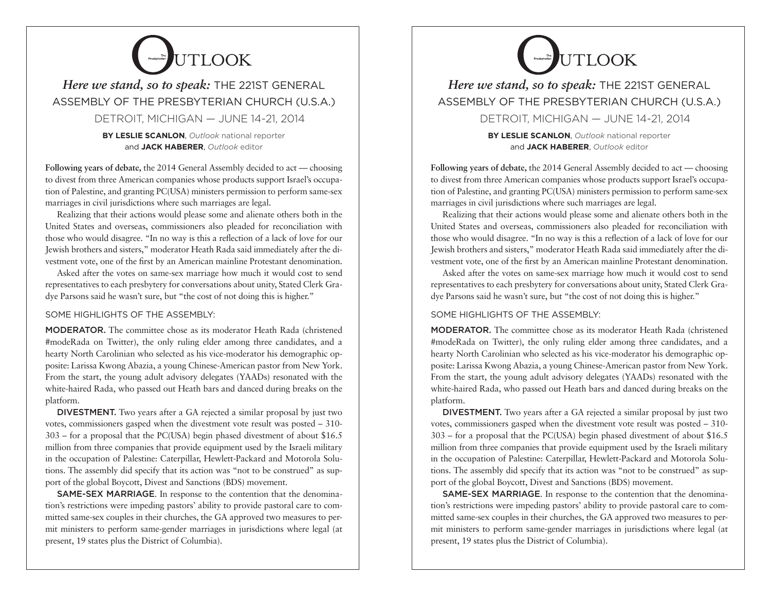## **EVENTIOOK**

### *Here we stand, so to speak:* THE 221ST GENERAL ASSEMBLY OF THE PRESBYTERIAN CHURCH (U.S.A.) DETROIT, MICHIGAN — JUNE 14-21, 2014

**BY LESLIE SCANLON**, *Outlook* national reporter and **JACK HABERER**, *Outlook* editor

**Following years of debate,** the 2014 General Assembly decided to act — choosing to divest from three American companies whose products support Israel's occupation of Palestine, and granting PC(USA) ministers permission to perform same-sex marriages in civil jurisdictions where such marriages are legal.

Realizing that their actions would please some and alienate others both in the United States and overseas, commissioners also pleaded for reconciliation with those who would disagree. "In no way is this a reflection of a lack of love for our Jewish brothers and sisters," moderator Heath Rada said immediately after the divestment vote, one of the first by an American mainline Protestant denomination.

Asked after the votes on same-sex marriage how much it would cost to send representatives to each presbytery for conversations about unity, Stated Clerk Gradye Parsons said he wasn't sure, but "the cost of not doing this is higher."

SOME HIGHLIGHTS OF THE ASSEMBLY:

MODERATOR. The committee chose as its moderator Heath Rada (christened #modeRada on Twitter), the only ruling elder among three candidates, and a hearty North Carolinian who selected as his vice-moderator his demographic opposite: Larissa Kwong Abazia, a young Chinese-American pastor from New York. From the start, the young adult advisory delegates (YAADs) resonated with the white-haired Rada, who passed out Heath bars and danced during breaks on the platform.

DIVESTMENT. Two years after a GA rejected a similar proposal by just two votes, commissioners gasped when the divestment vote result was posted – 310- 303 – for a proposal that the PC(USA) begin phased divestment of about \$16.5 million from three companies that provide equipment used by the Israeli military in the occupation of Palestine: Caterpillar, Hewlett-Packard and Motorola Solutions. The assembly did specify that its action was "not to be construed" as support of the global Boycott, Divest and Sanctions (BDS) movement.

SAME-SEX MARRIAGE. In response to the contention that the denomination's restrictions were impeding pastors' ability to provide pastoral care to committed same-sex couples in their churches, the GA approved two measures to permit ministers to perform same-gender marriages in jurisdictions where legal (at present, 19 states plus the District of Columbia).

# **Presby Reserved By LACK**

## *Here we stand, so to speak:* THE 221ST GENERAL ASSEMBLY OF THE PRESBYTERIAN CHURCH (U.S.A.) DETROIT, MICHIGAN — JUNE 14-21, 2014

**BY LESLIE SCANLON**, *Outlook* national reporter and **JACK HABERER**, *Outlook* editor

**Following years of debate,** the 2014 General Assembly decided to act — choosing to divest from three American companies whose products support Israel's occupation of Palestine, and granting PC(USA) ministers permission to perform same-sex marriages in civil jurisdictions where such marriages are legal.

Realizing that their actions would please some and alienate others both in the United States and overseas, commissioners also pleaded for reconciliation with those who would disagree. "In no way is this a reflection of a lack of love for our Jewish brothers and sisters," moderator Heath Rada said immediately after the divestment vote, one of the first by an American mainline Protestant denomination.

Asked after the votes on same-sex marriage how much it would cost to send representatives to each presbytery for conversations about unity, Stated Clerk Gradye Parsons said he wasn't sure, but "the cost of not doing this is higher."

#### SOME HIGHLIGHTS OF THE ASSEMBLY:

MODERATOR. The committee chose as its moderator Heath Rada (christened #modeRada on Twitter), the only ruling elder among three candidates, and a hearty North Carolinian who selected as his vice-moderator his demographic opposite: Larissa Kwong Abazia, a young Chinese-American pastor from New York. From the start, the young adult advisory delegates (YAADs) resonated with the white-haired Rada, who passed out Heath bars and danced during breaks on the platform.

DIVESTMENT. Two years after a GA rejected a similar proposal by just two votes, commissioners gasped when the divestment vote result was posted – 310- 303 – for a proposal that the PC(USA) begin phased divestment of about \$16.5 million from three companies that provide equipment used by the Israeli military in the occupation of Palestine: Caterpillar, Hewlett-Packard and Motorola Solutions. The assembly did specify that its action was "not to be construed" as support of the global Boycott, Divest and Sanctions (BDS) movement.

SAME-SEX MARRIAGE. In response to the contention that the denomination's restrictions were impeding pastors' ability to provide pastoral care to committed same-sex couples in their churches, the GA approved two measures to permit ministers to perform same-gender marriages in jurisdictions where legal (at present, 19 states plus the District of Columbia).